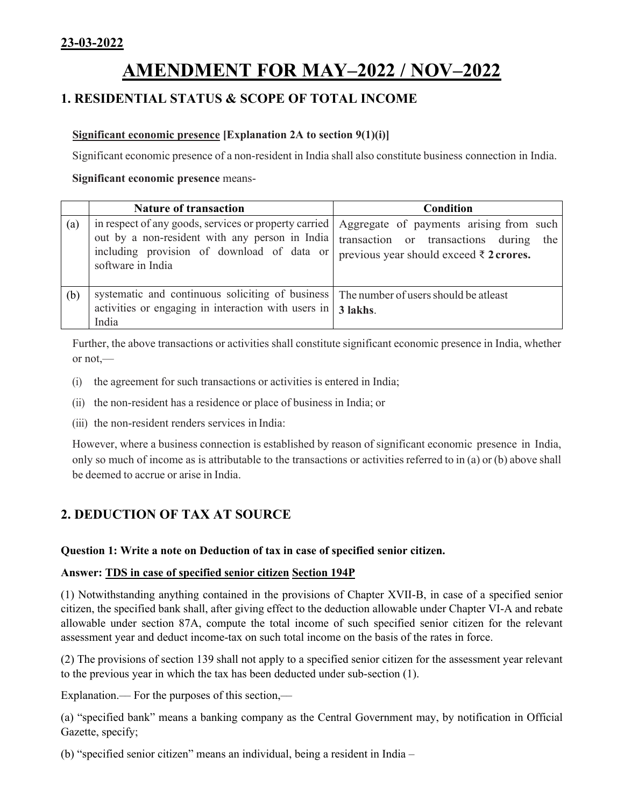# **AMENDMENT FOR MAY–2022 / NOV–2022**

# **1. RESIDENTIAL STATUS & SCOPE OF TOTAL INCOME**

## **Significant economic presence [Explanation 2A to section 9(1)(i)]**

Significant economic presence of a non-resident in India shall also constitute business connection in India.

#### **Significant economic presence** means-

|     | <b>Nature of transaction</b>                                                                                                                                               | <b>Condition</b>                                                                                                                        |
|-----|----------------------------------------------------------------------------------------------------------------------------------------------------------------------------|-----------------------------------------------------------------------------------------------------------------------------------------|
| (a) | in respect of any goods, services or property carried<br>out by a non-resident with any person in India<br>including provision of download of data or<br>software in India | Aggregate of payments arising from such<br>transaction or transactions during the<br>previous year should exceed $\bar{\tau}$ 2 crores. |
| (b) | systematic and continuous soliciting of business<br>activities or engaging in interaction with users in  <br>India                                                         | The number of users should be at least<br>3 lakhs.                                                                                      |

Further, the above transactions or activities shall constitute significant economic presence in India, whether or not,—

- (i) the agreement for such transactions or activities is entered in India;
- (ii) the non-resident has a residence or place of business in India; or
- (iii) the non-resident renders services in India:

However, where a business connection is established by reason of significant economic presence in India, only so much of income as is attributable to the transactions or activities referred to in (a) or (b) above shall be deemed to accrue or arise in India.

# **2. DEDUCTION OF TAX AT SOURCE**

## **Question 1: Write a note on Deduction of tax in case of specified senior citizen.**

## **Answer: TDS in case of specified senior citizen Section 194P**

(1) Notwithstanding anything contained in the provisions of Chapter XVII-B, in case of a specified senior citizen, the specified bank shall, after giving effect to the deduction allowable under Chapter VI-A and rebate allowable under section 87A, compute the total income of such specified senior citizen for the relevant assessment year and deduct income-tax on such total income on the basis of the rates in force.

(2) The provisions of section 139 shall not apply to a specified senior citizen for the assessment year relevant to the previous year in which the tax has been deducted under sub-section (1).

Explanation.— For the purposes of this section,—

(a) "specified bank" means a banking company as the Central Government may, by notification in Official Gazette, specify;

(b) "specified senior citizen" means an individual, being a resident in India –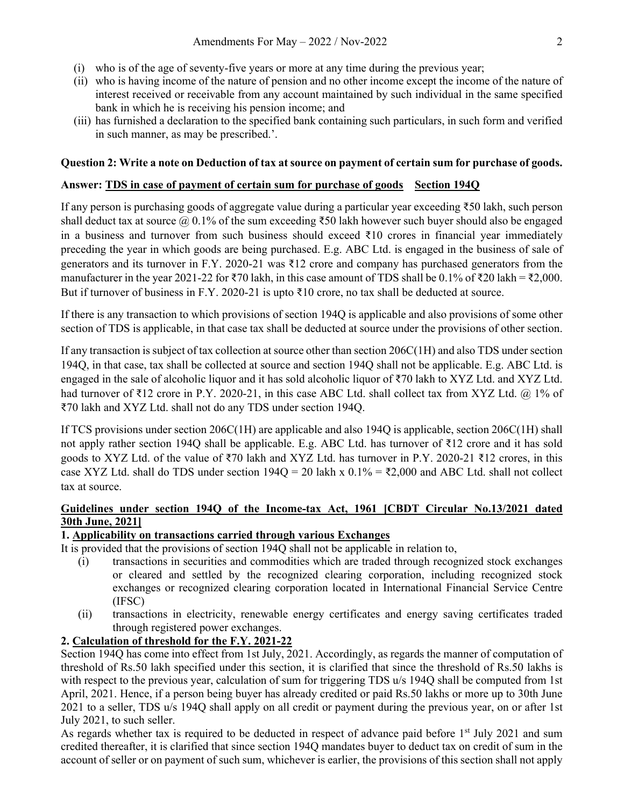- (i) who is of the age of seventy-five years or more at any time during the previous year;
- (ii) who is having income of the nature of pension and no other income except the income of the nature of interest received or receivable from any account maintained by such individual in the same specified bank in which he is receiving his pension income; and
- (iii) has furnished a declaration to the specified bank containing such particulars, in such form and verified in such manner, as may be prescribed.'.

#### **Question 2: Write a note on Deduction of tax at source on payment of certain sum for purchase of goods.**

#### Answer: TDS in case of payment of certain sum for purchase of goods Section 194Q

If any person is purchasing goods of aggregate value during a particular year exceeding ₹50 lakh, such person shall deduct tax at source  $\omega$  0.1% of the sum exceeding ₹50 lakh however such buyer should also be engaged in a business and turnover from such business should exceed ₹10 crores in financial year immediately preceding the year in which goods are being purchased. E.g. ABC Ltd. is engaged in the business of sale of generators and its turnover in F.Y. 2020-21 was ₹12 crore and company has purchased generators from the manufacturer in the year 2021-22 for ₹70 lakh, in this case amount of TDS shall be 0.1% of ₹20 lakh = ₹2,000. But if turnover of business in F.Y. 2020-21 is upto  $\overline{3}10$  crore, no tax shall be deducted at source.

If there is any transaction to which provisions of section 194Q is applicable and also provisions of some other section of TDS is applicable, in that case tax shall be deducted at source under the provisions of other section.

If any transaction is subject of tax collection at source other than section 206C(1H) and also TDS under section 194Q, in that case, tax shall be collected at source and section 194Q shall not be applicable. E.g. ABC Ltd. is engaged in the sale of alcoholic liquor and it has sold alcoholic liquor of ₹70 lakh to XYZ Ltd. and XYZ Ltd. had turnover of ₹12 crore in P.Y. 2020-21, in this case ABC Ltd. shall collect tax from XYZ Ltd. @ 1% of ₹70 lakh and XYZ Ltd. shall not do any TDS under section 194Q.

If TCS provisions under section 206C(1H) are applicable and also 194Q is applicable, section 206C(1H) shall not apply rather section 194Q shall be applicable. E.g. ABC Ltd. has turnover of ₹12 crore and it has sold goods to XYZ Ltd. of the value of ₹70 lakh and XYZ Ltd. has turnover in P.Y. 2020-21 ₹12 crores, in this case XYZ Ltd. shall do TDS under section  $194Q = 20$  lakh x  $0.1\% = \text{\textless}2,000$  and ABC Ltd. shall not collect tax at source.

## **Guidelines under section 194Q of the Income-tax Act, 1961 [CBDT Circular No.13/2021 dated 30th June, 2021]**

## **1. Applicability on transactions carried through various Exchanges**

It is provided that the provisions of section 194Q shall not be applicable in relation to,

- (i) transactions in securities and commodities which are traded through recognized stock exchanges or cleared and settled by the recognized clearing corporation, including recognized stock exchanges or recognized clearing corporation located in International Financial Service Centre (IFSC)
- (ii) transactions in electricity, renewable energy certificates and energy saving certificates traded through registered power exchanges.

## **2. Calculation of threshold for the F.Y. 2021-22**

Section 194Q has come into effect from 1st July, 2021. Accordingly, as regards the manner of computation of threshold of Rs.50 lakh specified under this section, it is clarified that since the threshold of Rs.50 lakhs is with respect to the previous year, calculation of sum for triggering TDS u/s 1940 shall be computed from 1st April, 2021. Hence, if a person being buyer has already credited or paid Rs.50 lakhs or more up to 30th June 2021 to a seller, TDS u/s 194Q shall apply on all credit or payment during the previous year, on or after 1st July 2021, to such seller.

As regards whether tax is required to be deducted in respect of advance paid before 1<sup>st</sup> July 2021 and sum credited thereafter, it is clarified that since section 194Q mandates buyer to deduct tax on credit of sum in the account of seller or on payment of such sum, whichever is earlier, the provisions of this section shall not apply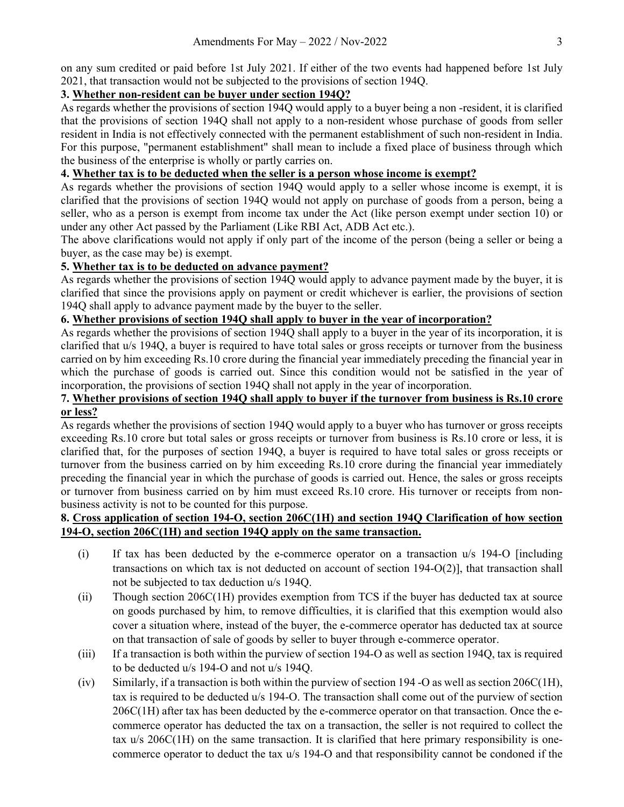on any sum credited or paid before 1st July 2021. If either of the two events had happened before 1st July 2021, that transaction would not be subjected to the provisions of section 194Q.

## **3. Whether non-resident can be buyer under section 194Q?**

As regards whether the provisions of section 194Q would apply to a buyer being a non -resident, it is clarified that the provisions of section 194Q shall not apply to a non-resident whose purchase of goods from seller resident in India is not effectively connected with the permanent establishment of such non-resident in India. For this purpose, "permanent establishment" shall mean to include a fixed place of business through which the business of the enterprise is wholly or partly carries on.

## **4. Whether tax is to be deducted when the seller is a person whose income is exempt?**

As regards whether the provisions of section 194Q would apply to a seller whose income is exempt, it is clarified that the provisions of section 194Q would not apply on purchase of goods from a person, being a seller, who as a person is exempt from income tax under the Act (like person exempt under section 10) or under any other Act passed by the Parliament (Like RBI Act, ADB Act etc.).

The above clarifications would not apply if only part of the income of the person (being a seller or being a buyer, as the case may be) is exempt.

## **5. Whether tax is to be deducted on advance payment?**

As regards whether the provisions of section 194Q would apply to advance payment made by the buyer, it is clarified that since the provisions apply on payment or credit whichever is earlier, the provisions of section 194Q shall apply to advance payment made by the buyer to the seller.

## **6. Whether provisions of section 194Q shall apply to buyer in the year of incorporation?**

As regards whether the provisions of section 194Q shall apply to a buyer in the year of its incorporation, it is clarified that u/s 194Q, a buyer is required to have total sales or gross receipts or turnover from the business carried on by him exceeding Rs.10 crore during the financial year immediately preceding the financial year in which the purchase of goods is carried out. Since this condition would not be satisfied in the year of incorporation, the provisions of section 194Q shall not apply in the year of incorporation.

#### **7. Whether provisions of section 194Q shall apply to buyer if the turnover from business is Rs.10 crore or less?**

As regards whether the provisions of section 194Q would apply to a buyer who has turnover or gross receipts exceeding Rs.10 crore but total sales or gross receipts or turnover from business is Rs.10 crore or less, it is clarified that, for the purposes of section 194Q, a buyer is required to have total sales or gross receipts or turnover from the business carried on by him exceeding Rs.10 crore during the financial year immediately preceding the financial year in which the purchase of goods is carried out. Hence, the sales or gross receipts or turnover from business carried on by him must exceed Rs.10 crore. His turnover or receipts from nonbusiness activity is not to be counted for this purpose.

## **8. Cross application of section 194-O, section 206C(1H) and section 194Q Clarification of how section 194-O, section 206C(1H) and section 194Q apply on the same transaction.**

- (i) If tax has been deducted by the e-commerce operator on a transaction u/s 194-O [including transactions on which tax is not deducted on account of section 194-O(2)], that transaction shall not be subjected to tax deduction u/s 194Q.
- (ii) Though section 206C(1H) provides exemption from TCS if the buyer has deducted tax at source on goods purchased by him, to remove difficulties, it is clarified that this exemption would also cover a situation where, instead of the buyer, the e-commerce operator has deducted tax at source on that transaction of sale of goods by seller to buyer through e-commerce operator.
- (iii) If a transaction is both within the purview of section 194-O as well as section 194Q, tax is required to be deducted u/s 194-O and not u/s 194Q.
- (iv) Similarly, if a transaction is both within the purview of section 194 -O as well as section 206C(1H), tax is required to be deducted u/s 194-O. The transaction shall come out of the purview of section 206C(1H) after tax has been deducted by the e-commerce operator on that transaction. Once the ecommerce operator has deducted the tax on a transaction, the seller is not required to collect the tax u/s 206C(1H) on the same transaction. It is clarified that here primary responsibility is onecommerce operator to deduct the tax u/s 194-O and that responsibility cannot be condoned if the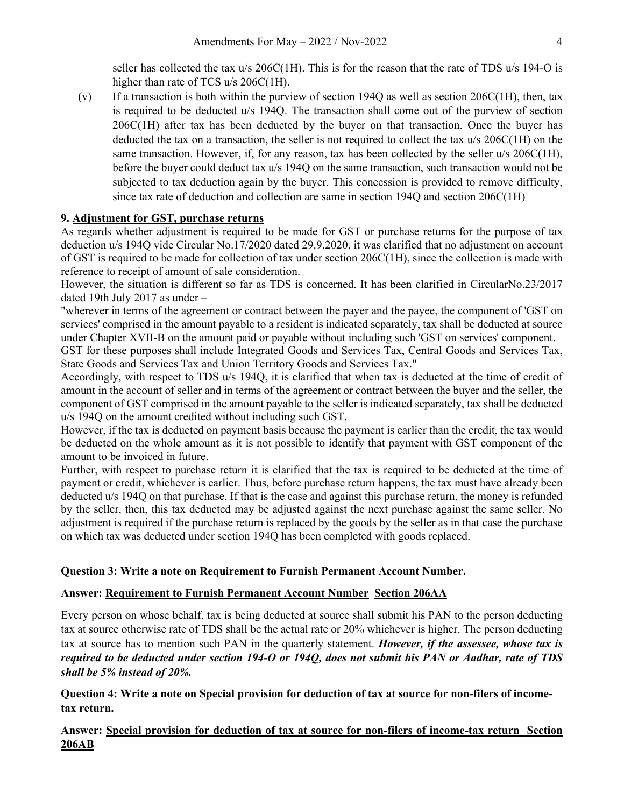seller has collected the tax  $u/s$  206C(1H). This is for the reason that the rate of TDS  $u/s$  194-O is higher than rate of TCS u/s 206C(1H).

(v) If a transaction is both within the purview of section 1940 as well as section  $206C(H)$ , then, tax is required to be deducted u/s 194Q. The transaction shall come out of the purview of section 206C(1H) after tax has been deducted by the buyer on that transaction. Once the buyer has deducted the tax on a transaction, the seller is not required to collect the tax u/s 206C(1H) on the same transaction. However, if, for any reason, tax has been collected by the seller  $u/s 206C(1H)$ , before the buyer could deduct tax u/s 194Q on the same transaction, such transaction would not be subjected to tax deduction again by the buyer. This concession is provided to remove difficulty, since tax rate of deduction and collection are same in section 194Q and section 206C(1H)

#### **9. Adjustment for GST, purchase returns**

As regards whether adjustment is required to be made for GST or purchase returns for the purpose of tax deduction u/s 194Q vide Circular No.17/2020 dated 29.9.2020, it was clarified that no adjustment on account of GST is required to be made for collection of tax under section 206C(1H), since the collection is made with reference to receipt of amount of sale consideration.

However, the situation is different so far as TDS is concerned. It has been clarified in CircularNo.23/2017 dated 19th July 2017 as under –

"wherever in terms of the agreement or contract between the payer and the payee, the component of 'GST on services' comprised in the amount payable to a resident is indicated separately, tax shall be deducted at source under Chapter XVII-B on the amount paid or payable without including such 'GST on services' component.

GST for these purposes shall include Integrated Goods and Services Tax, Central Goods and Services Tax, State Goods and Services Tax and Union Territory Goods and Services Tax."

Accordingly, with respect to TDS u/s 194Q, it is clarified that when tax is deducted at the time of credit of amount in the account of seller and in terms of the agreement or contract between the buyer and the seller, the component of GST comprised in the amount payable to the seller is indicated separately, tax shall be deducted u/s 194Q on the amount credited without including such GST.

However, if the tax is deducted on payment basis because the payment is earlier than the credit, the tax would be deducted on the whole amount as it is not possible to identify that payment with GST component of the amount to be invoiced in future.

Further, with respect to purchase return it is clarified that the tax is required to be deducted at the time of payment or credit, whichever is earlier. Thus, before purchase return happens, the tax must have already been deducted u/s 194Q on that purchase. If that is the case and against this purchase return, the money is refunded by the seller, then, this tax deducted may be adjusted against the next purchase against the same seller. No adjustment is required if the purchase return is replaced by the goods by the seller as in that case the purchase on which tax was deducted under section 194Q has been completed with goods replaced.

#### **Question 3: Write a note on Requirement to Furnish Permanent Account Number.**

#### **Answer: Requirement to Furnish Permanent Account Number Section 206AA**

Every person on whose behalf, tax is being deducted at source shall submit his PAN to the person deducting tax at source otherwise rate of TDS shall be the actual rate or 20% whichever is higher. The person deducting tax at source has to mention such PAN in the quarterly statement. *However, if the assessee, whose tax is required to be deducted under section 194-O or 194Q, does not submit his PAN or Aadhar, rate of TDS shall be 5% instead of 20%.*

**Question 4: Write a note on Special provision for deduction of tax at source for non-filers of incometax return.**

**Answer: Special provision for deduction of tax at source for non-filers of income-tax return Section 206AB**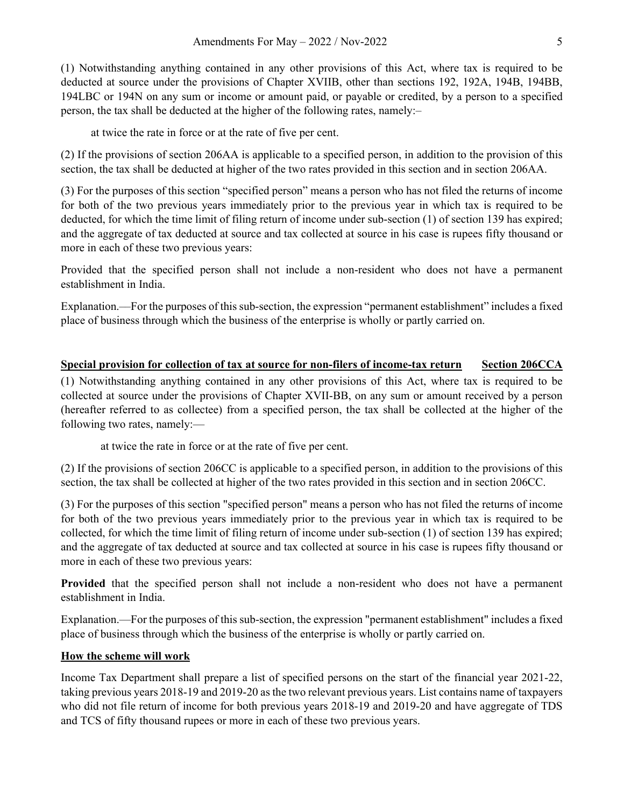(1) Notwithstanding anything contained in any other provisions of this Act, where tax is required to be deducted at source under the provisions of Chapter XVIIB, other than sections 192, 192A, 194B, 194BB, 194LBC or 194N on any sum or income or amount paid, or payable or credited, by a person to a specified person, the tax shall be deducted at the higher of the following rates, namely:–

at twice the rate in force or at the rate of five per cent.

(2) If the provisions of section 206AA is applicable to a specified person, in addition to the provision of this section, the tax shall be deducted at higher of the two rates provided in this section and in section 206AA.

(3) For the purposes of this section "specified person" means a person who has not filed the returns of income for both of the two previous years immediately prior to the previous year in which tax is required to be deducted, for which the time limit of filing return of income under sub-section (1) of section 139 has expired; and the aggregate of tax deducted at source and tax collected at source in his case is rupees fifty thousand or more in each of these two previous years:

Provided that the specified person shall not include a non-resident who does not have a permanent establishment in India.

Explanation.––For the purposes of this sub-section, the expression "permanent establishment" includes a fixed place of business through which the business of the enterprise is wholly or partly carried on.

## **Special provision for collection of tax at source for non-filers of income-tax return Section 206CCA**

(1) Notwithstanding anything contained in any other provisions of this Act, where tax is required to be collected at source under the provisions of Chapter XVII-BB, on any sum or amount received by a person (hereafter referred to as collectee) from a specified person, the tax shall be collected at the higher of the following two rates, namely:—

at twice the rate in force or at the rate of five per cent.

(2) If the provisions of section 206CC is applicable to a specified person, in addition to the provisions of this section, the tax shall be collected at higher of the two rates provided in this section and in section 206CC.

(3) For the purposes of this section "specified person" means a person who has not filed the returns of income for both of the two previous years immediately prior to the previous year in which tax is required to be collected, for which the time limit of filing return of income under sub-section (1) of section 139 has expired; and the aggregate of tax deducted at source and tax collected at source in his case is rupees fifty thousand or more in each of these two previous years:

**Provided** that the specified person shall not include a non-resident who does not have a permanent establishment in India.

Explanation.—For the purposes of this sub-section, the expression "permanent establishment" includes a fixed place of business through which the business of the enterprise is wholly or partly carried on.

## **How the scheme will work**

Income Tax Department shall prepare a list of specified persons on the start of the financial year 2021-22, taking previous years 2018-19 and 2019-20 as the two relevant previous years. List contains name of taxpayers who did not file return of income for both previous years 2018-19 and 2019-20 and have aggregate of TDS and TCS of fifty thousand rupees or more in each of these two previous years.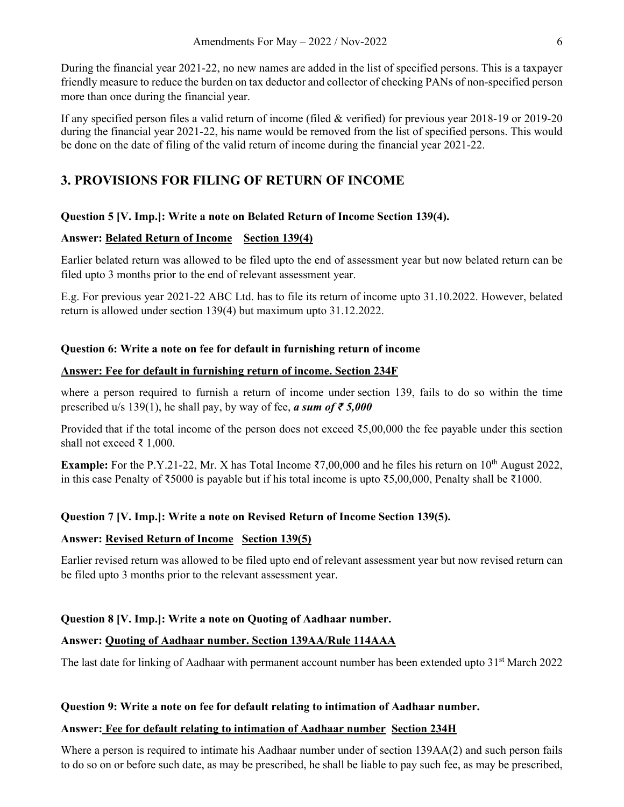During the financial year 2021-22, no new names are added in the list of specified persons. This is a taxpayer friendly measure to reduce the burden on tax deductor and collector of checking PANs of non-specified person more than once during the financial year.

If any specified person files a valid return of income (filed & verified) for previous year 2018-19 or 2019-20 during the financial year 2021-22, his name would be removed from the list of specified persons. This would be done on the date of filing of the valid return of income during the financial year 2021-22.

## **3. PROVISIONS FOR FILING OF RETURN OF INCOME**

#### **Question 5 [V. Imp.]: Write a note on Belated Return of Income Section 139(4).**

#### **Answer: Belated Return of Income Section 139(4)**

Earlier belated return was allowed to be filed upto the end of assessment year but now belated return can be filed upto 3 months prior to the end of relevant assessment year.

E.g. For previous year 2021-22 ABC Ltd. has to file its return of income upto 31.10.2022. However, belated return is allowed under section 139(4) but maximum upto 31.12.2022.

#### **Question 6: Write a note on fee for default in furnishing return of income**

#### **Answer: Fee for default in furnishing return of income. Section 234F**

where a person required to furnish a return of income under section 139, fails to do so within the time prescribed u/s 139(1), he shall pay, by way of fee, *a sum of*  $\bar{\tau}$  5,000

Provided that if the total income of the person does not exceed ₹5,00,000 the fee payable under this section shall not exceed ₹ 1,000.

**Example:** For the P.Y.21-22, Mr. X has Total Income  $\overline{(}7,00,000)$  and he files his return on  $10^{th}$  August 2022, in this case Penalty of ₹5000 is payable but if his total income is upto ₹5,00,000, Penalty shall be ₹1000.

#### **Question 7 [V. Imp.]: Write a note on Revised Return of Income Section 139(5).**

#### **Answer: Revised Return of Income Section 139(5)**

Earlier revised return was allowed to be filed upto end of relevant assessment year but now revised return can be filed upto 3 months prior to the relevant assessment year.

#### **Question 8 [V. Imp.]: Write a note on Quoting of Aadhaar number.**

#### **Answer: Quoting of Aadhaar number. Section 139AA/Rule 114AAA**

The last date for linking of Aadhaar with permanent account number has been extended upto  $31<sup>st</sup>$  March 2022

#### **Question 9: Write a note on fee for default relating to intimation of Aadhaar number.**

#### **Answer: Fee for default relating to intimation of Aadhaar number Section 234H**

Where a person is required to intimate his Aadhaar number under of section 139AA(2) and such person fails to do so on or before such date, as may be prescribed, he shall be liable to pay such fee, as may be prescribed,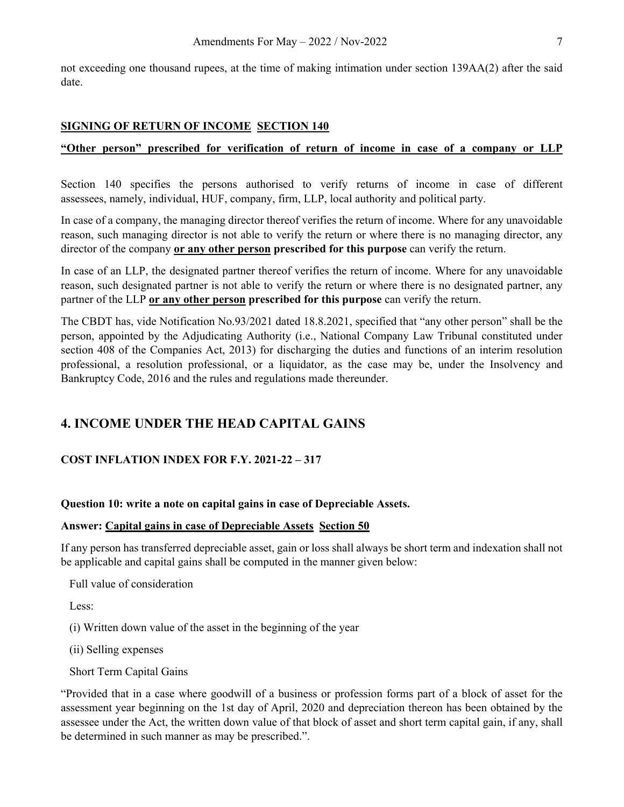not exceeding one thousand rupees, at the time of making intimation under section 139AA(2) after the said date.

## **SIGNING OF RETURN OF INCOME SECTION 140**

## **"Other person" prescribed for verification of return of income in case of a company or LLP**

Section 140 specifies the persons authorised to verify returns of income in case of different assessees, namely, individual, HUF, company, firm, LLP, local authority and political party.

In case of a company, the managing director thereof verifies the return of income. Where for any unavoidable reason, such managing director is not able to verify the return or where there is no managing director, any director of the company **or any other person prescribed for this purpose** can verify the return.

In case of an LLP, the designated partner thereof verifies the return of income. Where for any unavoidable reason, such designated partner is not able to verify the return or where there is no designated partner, any partner of the LLP **or any other person prescribed for this purpose** can verify the return.

The CBDT has, vide Notification No.93/2021 dated 18.8.2021, specified that "any other person" shall be the person, appointed by the Adjudicating Authority (i.e., National Company Law Tribunal constituted under section 408 of the Companies Act, 2013) for discharging the duties and functions of an interim resolution professional, a resolution professional, or a liquidator, as the case may be, under the Insolvency and Bankruptcy Code, 2016 and the rules and regulations made thereunder.

## **4. INCOME UNDER THE HEAD CAPITAL GAINS**

## **COST INFLATION INDEX FOR F.Y. 2021-22 – 317**

#### **Question 10: write a note on capital gains in case of Depreciable Assets.**

#### **Answer: Capital gains in case of Depreciable Assets Section 50**

If any person has transferred depreciable asset, gain or loss shall always be short term and indexation shall not be applicable and capital gains shall be computed in the manner given below:

Full value of consideration

Less:

(i) Written down value of the asset in the beginning of the year

(ii) Selling expenses

Short Term Capital Gains

"Provided that in a case where goodwill of a business or profession forms part of a block of asset for the assessment year beginning on the 1st day of April, 2020 and depreciation thereon has been obtained by the assessee under the Act, the written down value of that block of asset and short term capital gain, if any, shall be determined in such manner as may be prescribed.".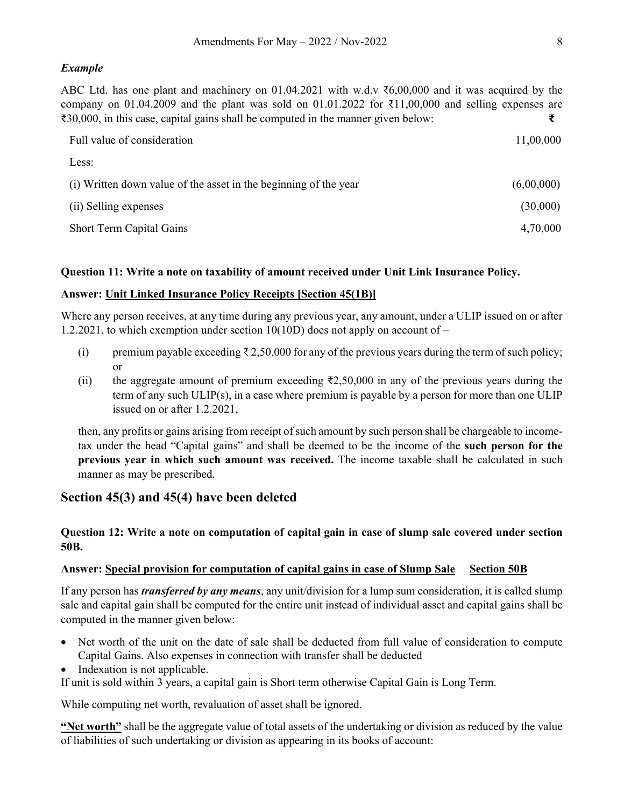#### *Example*

ABC Ltd. has one plant and machinery on 01.04.2021 with w.d.v ₹6,00,000 and it was acquired by the company on 01.04.2009 and the plant was sold on 01.01.2022 for  $\bar{\tau}$ 11.00,000 and selling expenses are ₹30,000, in this case, capital gains shall be computed in the manner given below: **₹** 

| Full value of consideration                                      | 11,00,000  |  |
|------------------------------------------------------------------|------------|--|
| Less:                                                            |            |  |
| (i) Written down value of the asset in the beginning of the year | (6,00,000) |  |
| (ii) Selling expenses                                            | (30,000)   |  |
| Short Term Capital Gains                                         | 4,70,000   |  |

#### **Question 11: Write a note on taxability of amount received under Unit Link Insurance Policy.**

#### **Answer: Unit Linked Insurance Policy Receipts [Section 45(1B)]**

Where any person receives, at any time during any previous year, any amount, under a ULIP issued on or after 1.2.2021, to which exemption under section 10(10D) does not apply on account of –

- (i) premium payable exceeding  $\bar{\tau}$  2,50,000 for any of the previous years during the term of such policy; or
- (ii) the aggregate amount of premium exceeding  $\overline{(}2,50,000)$  in any of the previous years during the term of any such ULIP(s), in a case where premium is payable by a person for more than one ULIP issued on or after 1.2.2021,

then, any profits or gains arising from receipt of such amount by such person shall be chargeable to incometax under the head "Capital gains" and shall be deemed to be the income of the **such person for the previous year in which such amount was received.** The income taxable shall be calculated in such manner as may be prescribed.

## **Section 45(3) and 45(4) have been deleted**

## **Question 12: Write a note on computation of capital gain in case of slump sale covered under section 50B.**

#### Answer: Special provision for computation of capital gains in case of Slump Sale Section 50B

If any person has *transferred by any means*, any unit/division for a lump sum consideration, it is called slump sale and capital gain shall be computed for the entire unit instead of individual asset and capital gains shall be computed in the manner given below:

- Net worth of the unit on the date of sale shall be deducted from full value of consideration to compute Capital Gains. Also expenses in connection with transfer shall be deducted
- Indexation is not applicable.

If unit is sold within 3 years, a capital gain is Short term otherwise Capital Gain is Long Term.

While computing net worth, revaluation of asset shall be ignored.

**"Net worth"** shall be the aggregate value of total assets of the undertaking or division as reduced by the value of liabilities of such undertaking or division as appearing in its books of account: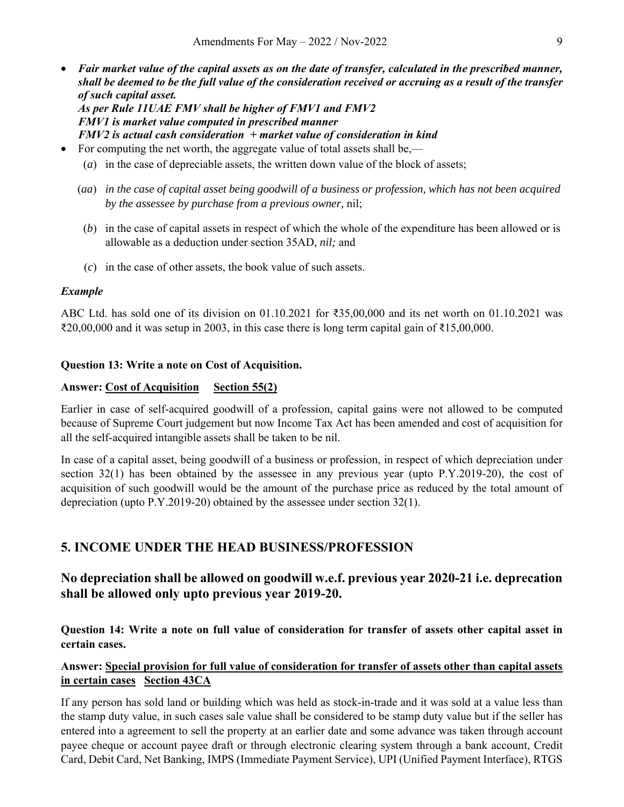- *Fair market value of the capital assets as on the date of transfer, calculated in the prescribed manner, shall be deemed to be the full value of the consideration received or accruing as a result of the transfer of such capital asset. As per Rule 11UAE FMV shall be higher of FMV1 and FMV2 FMV1 is market value computed in prescribed manner FMV2 is actual cash consideration + market value of consideration in kind*
- For computing the net worth, the aggregate value of total assets shall be,—
	- (*a*) in the case of depreciable assets, the written down value of the block of assets;
	- (*aa*) *in the case of capital asset being goodwill of a business or profession, which has not been acquired by the assessee by purchase from a previous owner,* nil;
		- (*b*) in the case of capital assets in respect of which the whole of the expenditure has been allowed or is allowable as a deduction under section 35AD, *nil;* and
		- (*c*) in the case of other assets, the book value of such assets.

#### *Example*

ABC Ltd. has sold one of its division on 01.10.2021 for ₹35,00,000 and its net worth on 01.10.2021 was  $\text{\textsterling}20,00,000$  and it was setup in 2003, in this case there is long term capital gain of  $\text{\textsterling}15,00,000$ .

#### **Question 13: Write a note on Cost of Acquisition.**

#### Answer: Cost of Acquisition Section 55(2)

Earlier in case of self-acquired goodwill of a profession, capital gains were not allowed to be computed because of Supreme Court judgement but now Income Tax Act has been amended and cost of acquisition for all the self-acquired intangible assets shall be taken to be nil.

In case of a capital asset, being goodwill of a business or profession, in respect of which depreciation under section 32(1) has been obtained by the assessee in any previous year (upto P.Y.2019-20), the cost of acquisition of such goodwill would be the amount of the purchase price as reduced by the total amount of depreciation (upto P.Y.2019-20) obtained by the assessee under section 32(1).

## **5. INCOME UNDER THE HEAD BUSINESS/PROFESSION**

## **No depreciation shall be allowed on goodwill w.e.f. previous year 2020-21 i.e. deprecation shall be allowed only upto previous year 2019-20.**

**Question 14: Write a note on full value of consideration for transfer of assets other capital asset in certain cases.** 

#### **Answer: Special provision for full value of consideration for transfer of assets other than capital assets in certain cases Section 43CA**

If any person has sold land or building which was held as stock-in-trade and it was sold at a value less than the stamp duty value, in such cases sale value shall be considered to be stamp duty value but if the seller has entered into a agreement to sell the property at an earlier date and some advance was taken through account payee cheque or account payee draft or through electronic clearing system through a bank account, Credit Card, Debit Card, Net Banking, IMPS (Immediate Payment Service), UPI (Unified Payment Interface), RTGS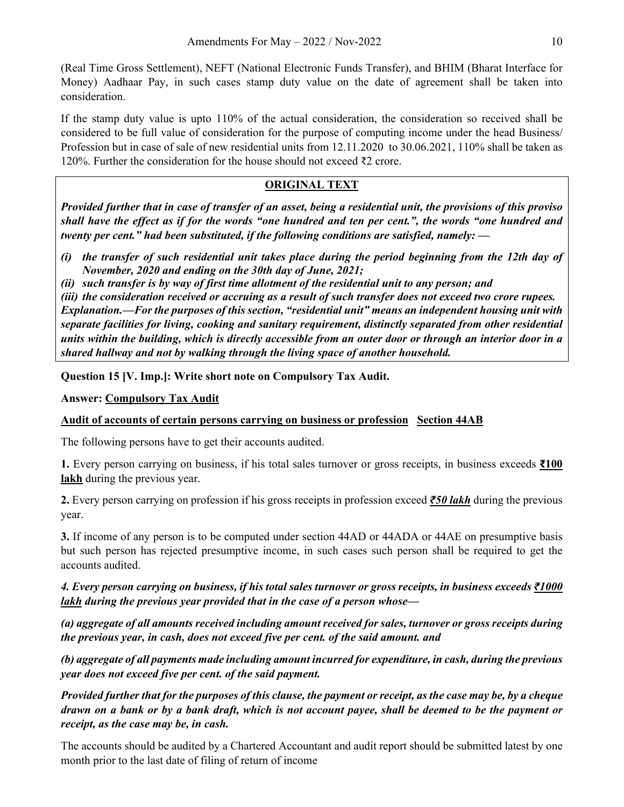(Real Time Gross Settlement), NEFT (National Electronic Funds Transfer), and BHIM (Bharat Interface for Money) Aadhaar Pay, in such cases stamp duty value on the date of agreement shall be taken into consideration.

If the stamp duty value is upto 110% of the actual consideration, the consideration so received shall be considered to be full value of consideration for the purpose of computing income under the head Business/ Profession but in case of sale of new residential units from 12.11.2020 to 30.06.2021, 110% shall be taken as 120%. Further the consideration for the house should not exceed ₹2 crore.

## **ORIGINAL TEXT**

*Provided further that in case of transfer of an asset, being a residential unit, the provisions of this proviso shall have the effect as if for the words "one hundred and ten per cent.", the words "one hundred and twenty per cent." had been substituted, if the following conditions are satisfied, namely: ––* 

- *(i) the transfer of such residential unit takes place during the period beginning from the 12th day of November, 2020 and ending on the 30th day of June, 2021;*
- *(ii) such transfer is by way of first time allotment of the residential unit to any person; and*

*(iii) the consideration received or accruing as a result of such transfer does not exceed two crore rupees. Explanation.––For the purposes of this section, "residential unit" means an independent housing unit with separate facilities for living, cooking and sanitary requirement, distinctly separated from other residential units within the building, which is directly accessible from an outer door or through an interior door in a shared hallway and not by walking through the living space of another household.* 

**Question 15 [V. Imp.]: Write short note on Compulsory Tax Audit.** 

**Answer: Compulsory Tax Audit** 

## **Audit of accounts of certain persons carrying on business or profession Section 44AB**

The following persons have to get their accounts audited.

**1.** Every person carrying on business, if his total sales turnover or gross receipts, in business exceeds **₹100 lakh** during the previous year.

**2.** Every person carrying on profession if his gross receipts in profession exceed *₹50 lakh* during the previous year.

**3.** If income of any person is to be computed under section 44AD or 44ADA or 44AE on presumptive basis but such person has rejected presumptive income, in such cases such person shall be required to get the accounts audited.

## *4. Every person carrying on business, if his total sales turnover or gross receipts, in business exceeds ₹1000 lakh during the previous year provided that in the case of a person whose––*

*(a) aggregate of all amounts received including amount received for sales, turnover or gross receipts during the previous year, in cash, does not exceed five per cent. of the said amount. and* 

*(b) aggregate of all payments made including amount incurred for expenditure, in cash, during the previous year does not exceed five per cent. of the said payment.* 

*Provided further that for the purposes of this clause, the payment or receipt, as the case may be, by a cheque drawn on a bank or by a bank draft, which is not account payee, shall be deemed to be the payment or receipt, as the case may be, in cash.* 

The accounts should be audited by a Chartered Accountant and audit report should be submitted latest by one month prior to the last date of filing of return of income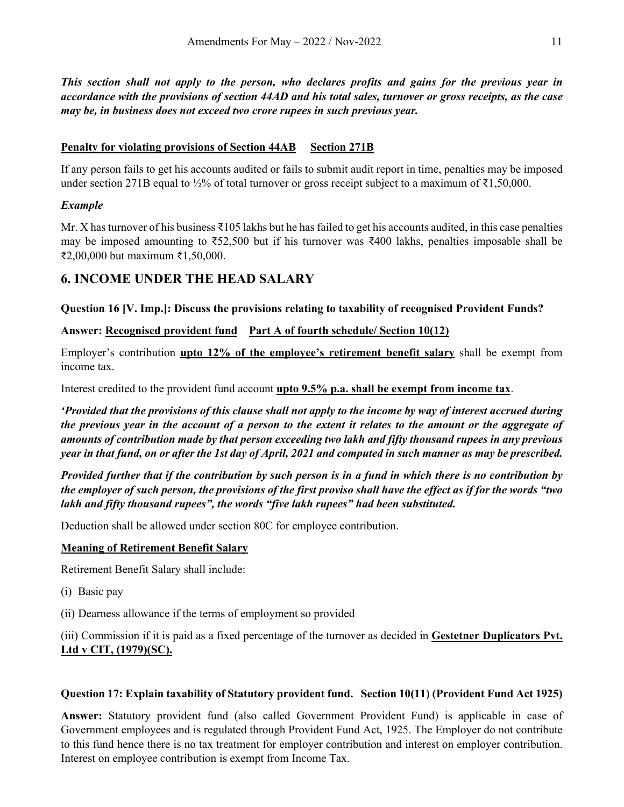*This section shall not apply to the person, who declares profits and gains for the previous year in accordance with the provisions of section 44AD and his total sales, turnover or gross receipts, as the case may be, in business does not exceed two crore rupees in such previous year.* 

## **Penalty for violating provisions of Section 44AB Section 271B**

If any person fails to get his accounts audited or fails to submit audit report in time, penalties may be imposed under section 271B equal to ½% of total turnover or gross receipt subject to a maximum of  $\bar{\epsilon}1,50,000$ .

## *Example*

Mr. X has turnover of his business ₹105 lakhs but he has failed to get his accounts audited, in this case penalties may be imposed amounting to ₹52,500 but if his turnover was ₹400 lakhs, penalties imposable shall be ₹2,00,000 but maximum ₹1,50,000.

## **6. INCOME UNDER THE HEAD SALARY**

**Question 16 [V. Imp.]: Discuss the provisions relating to taxability of recognised Provident Funds?** 

**Answer: Recognised provident fund Part A of fourth schedule/ Section 10(12)** 

Employer's contribution **upto 12% of the employee's retirement benefit salary** shall be exempt from income tax.

Interest credited to the provident fund account **upto 9.5% p.a. shall be exempt from income tax**.

*'Provided that the provisions of this clause shall not apply to the income by way of interest accrued during the previous year in the account of a person to the extent it relates to the amount or the aggregate of amounts of contribution made by that person exceeding two lakh and fifty thousand rupees in any previous year in that fund, on or after the 1st day of April, 2021 and computed in such manner as may be prescribed.* 

*Provided further that if the contribution by such person is in a fund in which there is no contribution by the employer of such person, the provisions of the first proviso shall have the effect as if for the words "two lakh and fifty thousand rupees", the words "five lakh rupees" had been substituted.* 

Deduction shall be allowed under section 80C for employee contribution.

#### **Meaning of Retirement Benefit Salary**

Retirement Benefit Salary shall include:

- (i) Basic pay
- (ii) Dearness allowance if the terms of employment so provided

(iii) Commission if it is paid as a fixed percentage of the turnover as decided in **Gestetner Duplicators Pvt. Ltd v CIT, (1979)(SC).** 

## **Question 17: Explain taxability of Statutory provident fund. Section 10(11) (Provident Fund Act 1925)**

**Answer:** Statutory provident fund (also called Government Provident Fund) is applicable in case of Government employees and is regulated through Provident Fund Act, 1925. The Employer do not contribute to this fund hence there is no tax treatment for employer contribution and interest on employer contribution. Interest on employee contribution is exempt from Income Tax.